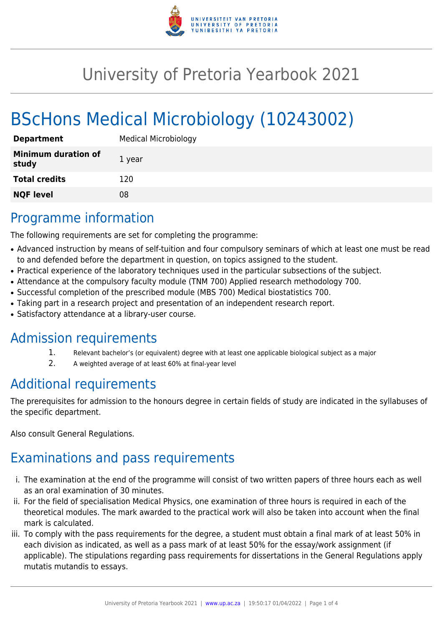

## University of Pretoria Yearbook 2021

# BScHons Medical Microbiology (10243002)

| <b>Department</b>                   | <b>Medical Microbiology</b> |
|-------------------------------------|-----------------------------|
| <b>Minimum duration of</b><br>study | 1 year                      |
| <b>Total credits</b>                | 120                         |
| <b>NQF level</b>                    | 08                          |

## Programme information

The following requirements are set for completing the programme:

- Advanced instruction by means of self-tuition and four compulsory seminars of which at least one must be read to and defended before the department in question, on topics assigned to the student.
- Practical experience of the laboratory techniques used in the particular subsections of the subject.
- Attendance at the compulsory faculty module (TNM 700) Applied research methodology 700.
- Successful completion of the prescribed module (MBS 700) Medical biostatistics 700.
- Taking part in a research project and presentation of an independent research report.
- Satisfactory attendance at a library-user course.

#### Admission requirements

- 1. Relevant bachelor's (or equivalent) degree with at least one applicable biological subject as a major
- 2. A weighted average of at least 60% at final-year level

### Additional requirements

The prerequisites for admission to the honours degree in certain fields of study are indicated in the syllabuses of the specific department.

Also consult General Regulations.

## Examinations and pass requirements

- i. The examination at the end of the programme will consist of two written papers of three hours each as well as an oral examination of 30 minutes.
- ii. For the field of specialisation Medical Physics, one examination of three hours is required in each of the theoretical modules. The mark awarded to the practical work will also be taken into account when the final mark is calculated.
- iii. To comply with the pass requirements for the degree, a student must obtain a final mark of at least 50% in each division as indicated, as well as a pass mark of at least 50% for the essay/work assignment (if applicable). The stipulations regarding pass requirements for dissertations in the General Regulations apply mutatis mutandis to essays.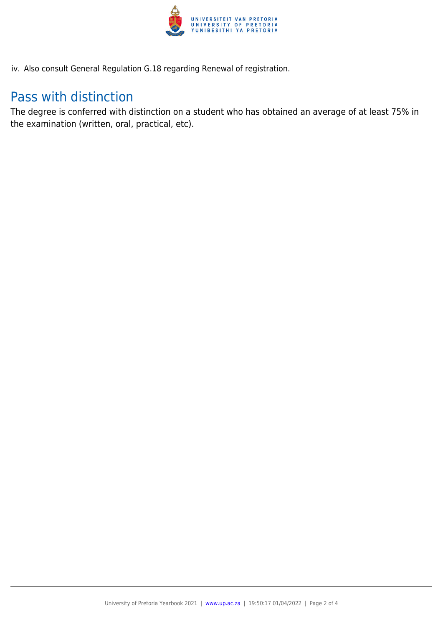

iv. Also consult General Regulation G.18 regarding Renewal of registration.

### Pass with distinction

The degree is conferred with distinction on a student who has obtained an average of at least 75% in the examination (written, oral, practical, etc).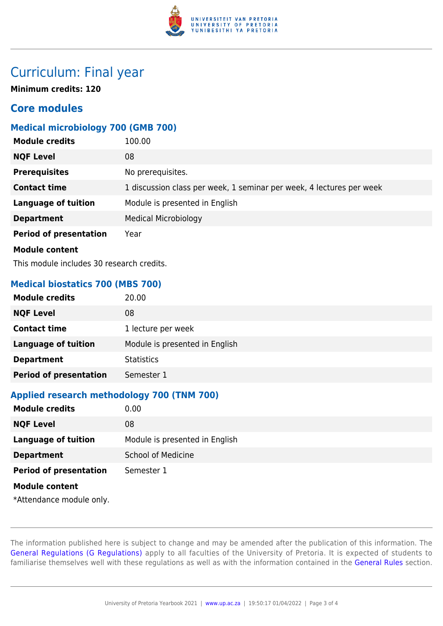

### Curriculum: Final year

**Minimum credits: 120**

#### **Core modules**

#### **Medical microbiology 700 (GMB 700)**

| <b>Module credits</b>                     | 100.00                                                               |  |
|-------------------------------------------|----------------------------------------------------------------------|--|
| <b>NQF Level</b>                          | 08                                                                   |  |
| <b>Prerequisites</b>                      | No prerequisites.                                                    |  |
| <b>Contact time</b>                       | 1 discussion class per week, 1 seminar per week, 4 lectures per week |  |
| <b>Language of tuition</b>                | Module is presented in English                                       |  |
| <b>Department</b>                         | <b>Medical Microbiology</b>                                          |  |
| <b>Period of presentation</b>             | Year                                                                 |  |
| <b>Module content</b>                     |                                                                      |  |
| This module includes 30 research credits. |                                                                      |  |

**Medical biostatics 700 (MBS 700)**

| <b>Module credits</b>         | 20.00                          |
|-------------------------------|--------------------------------|
| <b>NQF Level</b>              | 08                             |
| <b>Contact time</b>           | 1 lecture per week             |
| <b>Language of tuition</b>    | Module is presented in English |
| <b>Department</b>             | <b>Statistics</b>              |
| <b>Period of presentation</b> | Semester 1                     |

#### **Applied research methodology 700 (TNM 700)**

| <b>Module credits</b>                             | 0.00                           |
|---------------------------------------------------|--------------------------------|
| <b>NQF Level</b>                                  | 08                             |
| <b>Language of tuition</b>                        | Module is presented in English |
| <b>Department</b>                                 | <b>School of Medicine</b>      |
| <b>Period of presentation</b>                     | Semester 1                     |
| <b>Module content</b><br>*Attendance module only. |                                |

The information published here is subject to change and may be amended after the publication of this information. The [General Regulations \(G Regulations\)](https://www.up.ac.za/yearbooks/2021/rules/view/REG) apply to all faculties of the University of Pretoria. It is expected of students to familiarise themselves well with these regulations as well as with the information contained in the [General Rules](https://www.up.ac.za/yearbooks/2021/rules/view/RUL) section.